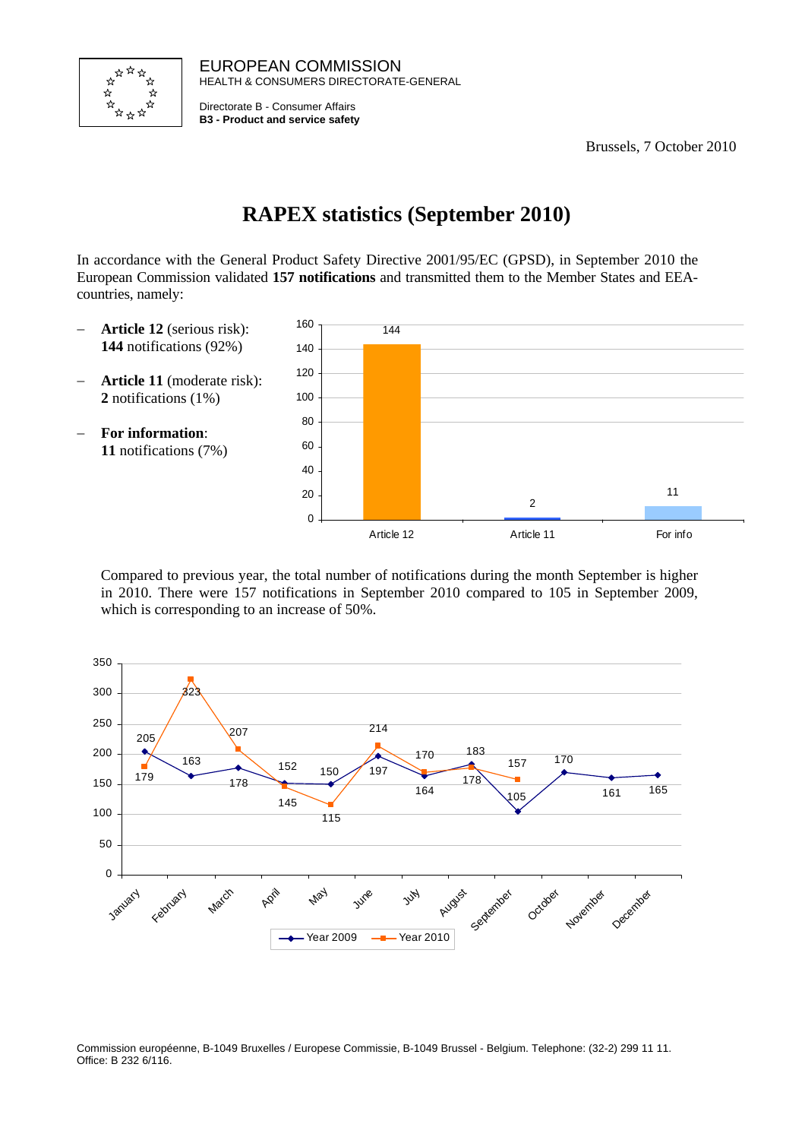

EUROPEAN COMMISSION HEALTH & CONSUMERS DIRECTORATE-GENERAL

Directorate B - Consumer Affairs **B3 - Product and service safety**

Brussels, 7 October 2010

# **RAPEX statistics (September 2010)**

In accordance with the General Product Safety Directive 2001/95/EC (GPSD), in September 2010 the European Commission validated **157 notifications** and transmitted them to the Member States and EEAcountries, namely:

- − **Article 12** (serious risk): **144** notifications (92%)
- − **Article 11** (moderate risk): **2** notifications (1%)
- − **For information**: **11** notifications (7%)



Compared to previous year, the total number of notifications during the month September is higher in 2010. There were 157 notifications in September 2010 compared to 105 in September 2009, which is corresponding to an increase of 50%.



Commission européenne, B-1049 Bruxelles / Europese Commissie, B-1049 Brussel - Belgium. Telephone: (32-2) 299 11 11. Office: B 232 6/116.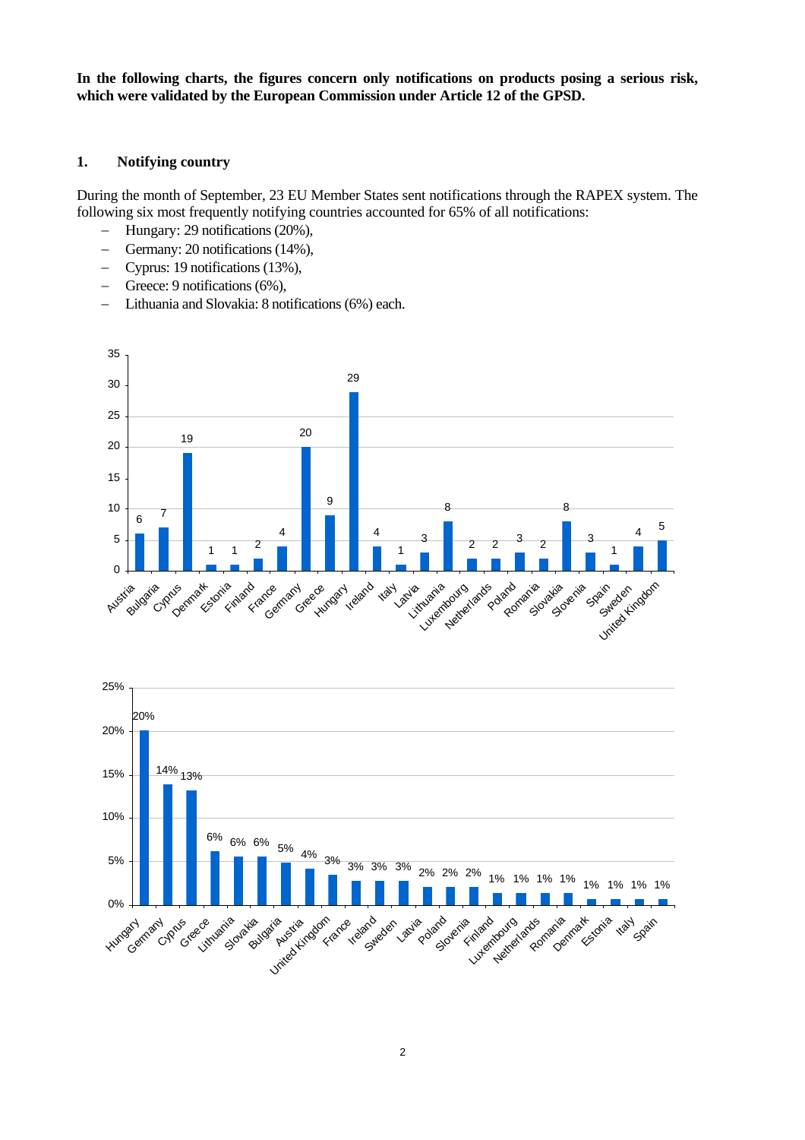**In the following charts, the figures concern only notifications on products posing a serious risk, which were validated by the European Commission under Article 12 of the GPSD.** 

#### **1. Notifying country**

During the month of September, 23 EU Member States sent notifications through the RAPEX system. The following six most frequently notifying countries accounted for 65% of all notifications:

- − Hungary: 29 notifications (20%),
- − Germany: 20 notifications (14%),
- − Cyprus: 19 notifications (13%),
- − Greece: 9 notifications (6%),
- − Lithuania and Slovakia: 8 notifications (6%) each.



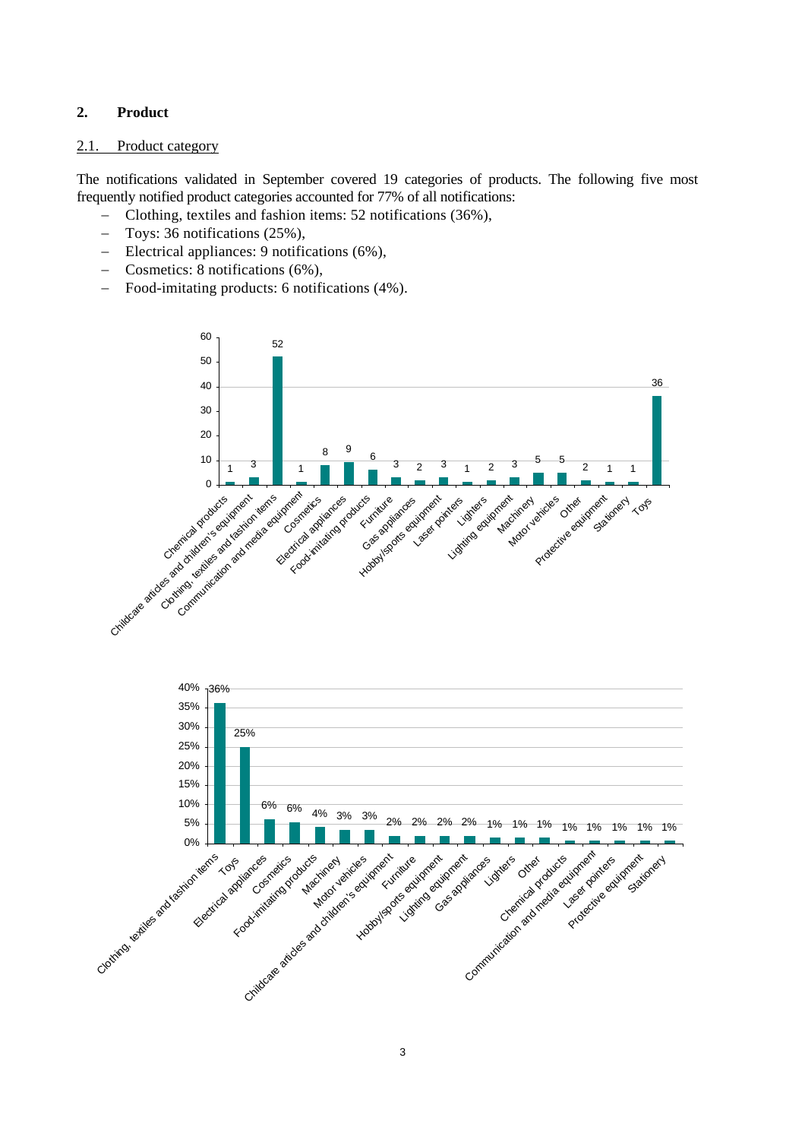## **2. Product**

#### 2.1. Product category

The notifications validated in September covered 19 categories of products. The following five most frequently notified product categories accounted for 77% of all notifications:

- − Clothing, textiles and fashion items: 52 notifications (36%),
- − Toys: 36 notifications (25%),
- − Electrical appliances: 9 notifications (6%),
- − Cosmetics: 8 notifications (6%),
- − Food-imitating products: 6 notifications (4%).

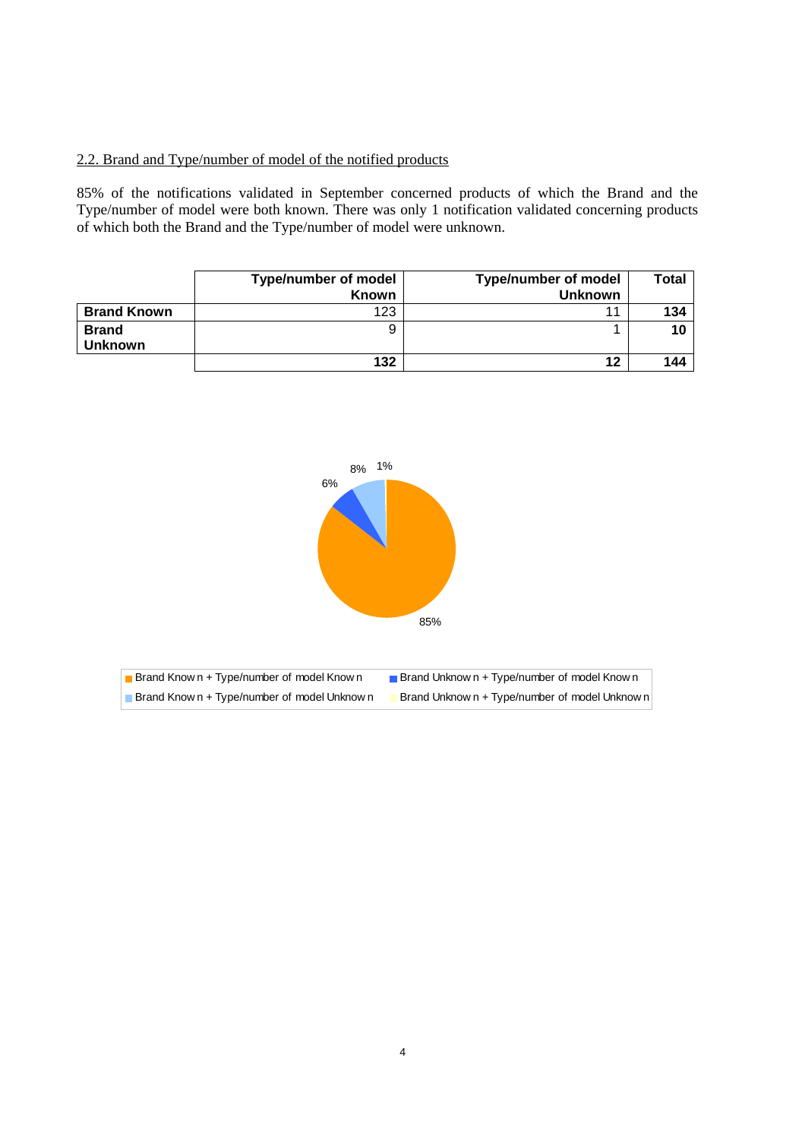## 2.2. Brand and Type/number of model of the notified products

85% of the notifications validated in September concerned products of which the Brand and the Type/number of model were both known. There was only 1 notification validated concerning products of which both the Brand and the Type/number of model were unknown.

|                                | <b>Type/number of model</b><br><b>Known</b> | <b>Type/number of model</b><br><b>Unknown</b> | Total |
|--------------------------------|---------------------------------------------|-----------------------------------------------|-------|
| <b>Brand Known</b>             | 123                                         | 11                                            | 134   |
| <b>Brand</b><br><b>Unknown</b> | 9                                           |                                               | 10    |
|                                | 132                                         | 12                                            | 144   |

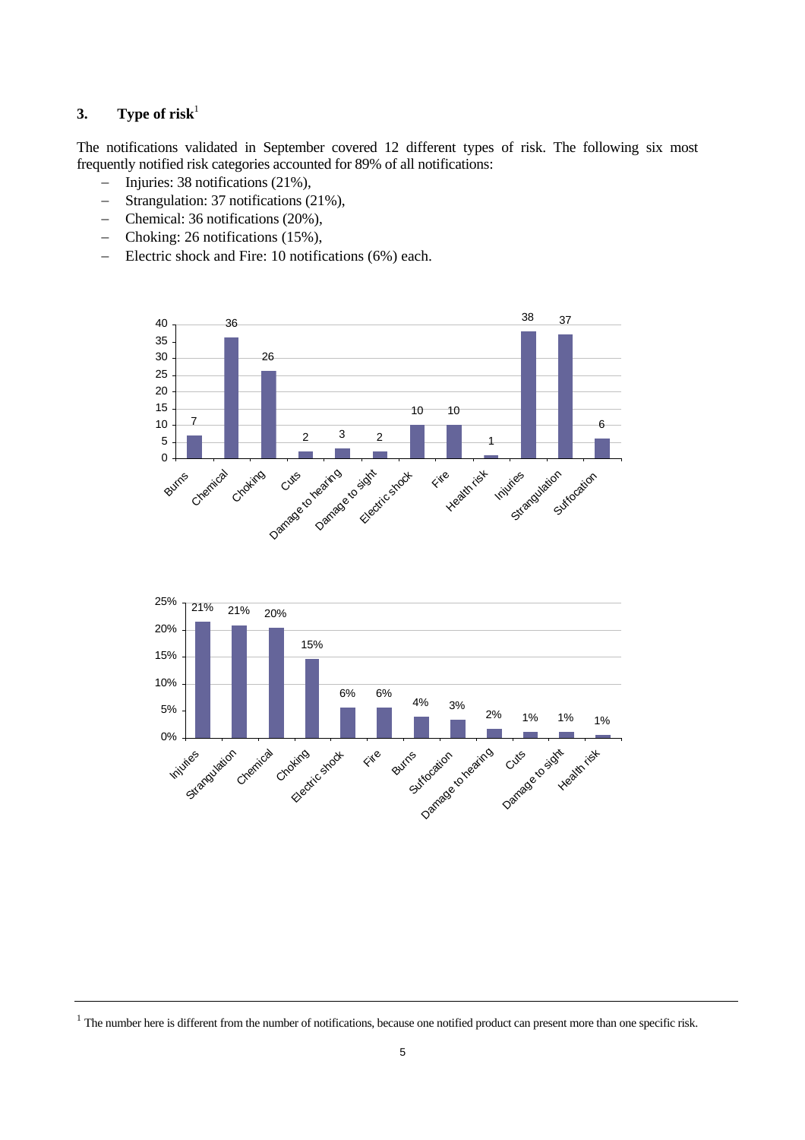# **3.** Type of risk<sup>1</sup>

The notifications validated in September covered 12 different types of risk. The following six most frequently notified risk categories accounted for 89% of all notifications:

- − Injuries: 38 notifications (21%),
- − Strangulation: 37 notifications (21%),
- − Chemical: 36 notifications (20%),
- − Choking: 26 notifications (15%),
- − Electric shock and Fire: 10 notifications (6%) each.





 $1$  The number here is different from the number of notifications, because one notified product can present more than one specific risk.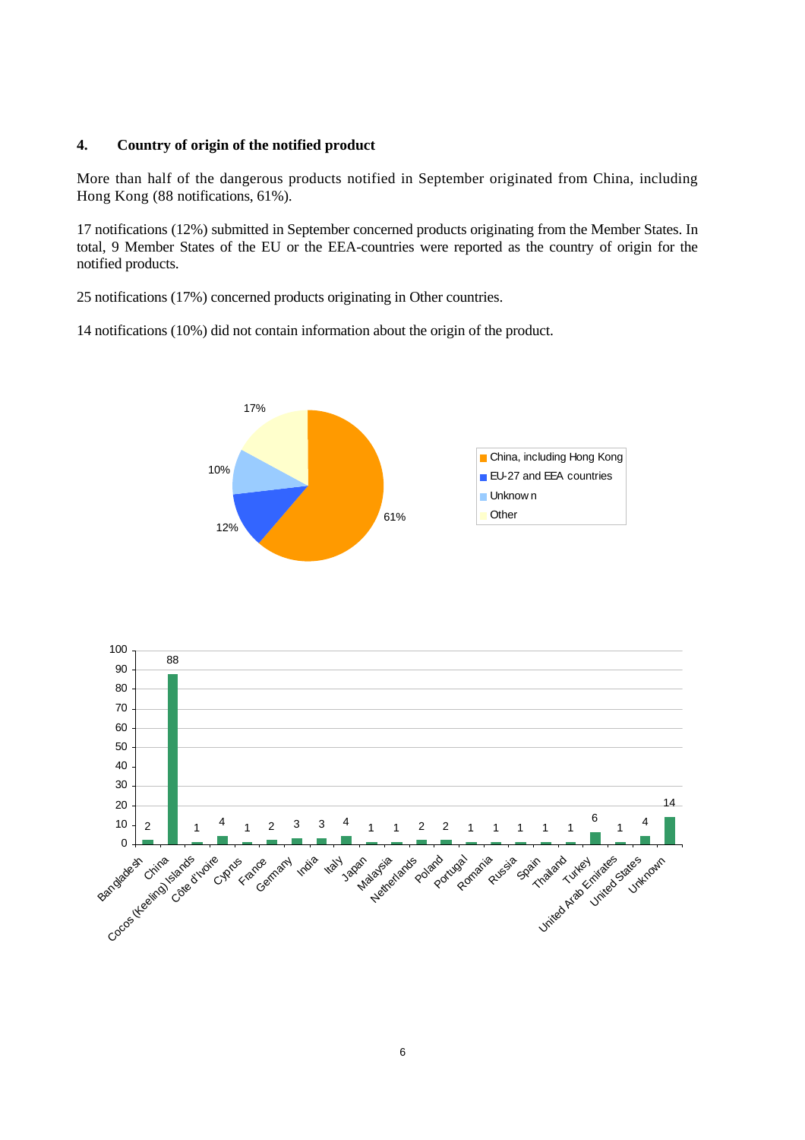## **4. Country of origin of the notified product**

More than half of the dangerous products notified in September originated from China, including Hong Kong (88 notifications, 61%).

17 notifications (12%) submitted in September concerned products originating from the Member States. In total, 9 Member States of the EU or the EEA-countries were reported as the country of origin for the notified products.

25 notifications (17%) concerned products originating in Other countries.

14 notifications (10%) did not contain information about the origin of the product.



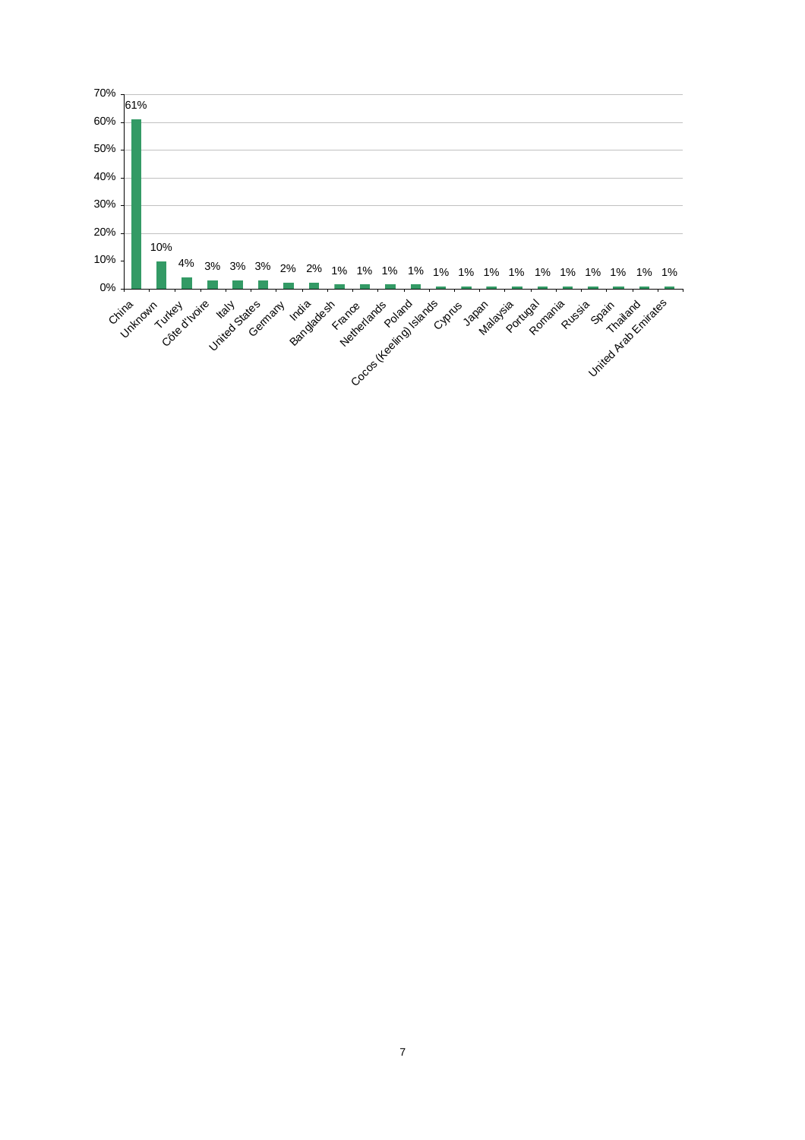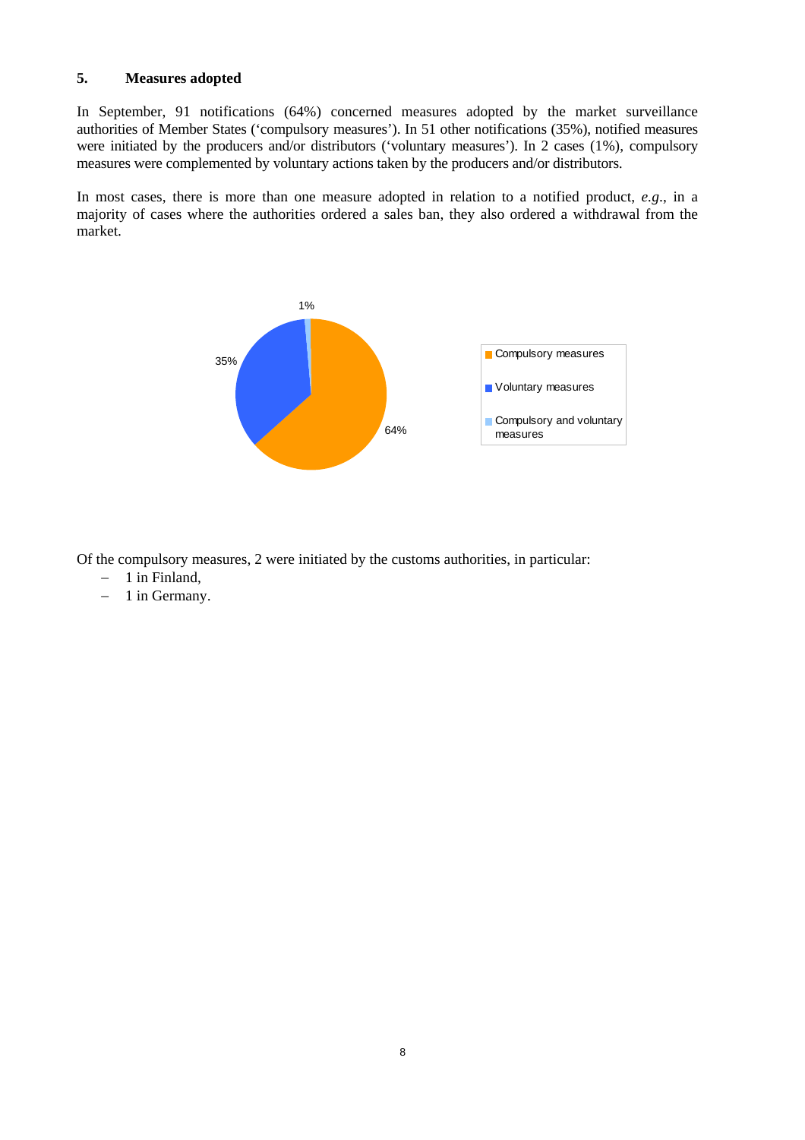#### **5. Measures adopted**

In September, 91 notifications (64%) concerned measures adopted by the market surveillance authorities of Member States ('compulsory measures'). In 51 other notifications (35%), notified measures were initiated by the producers and/or distributors ('voluntary measures'). In 2 cases (1%), compulsory measures were complemented by voluntary actions taken by the producers and/or distributors.

In most cases, there is more than one measure adopted in relation to a notified product, *e.g*., in a majority of cases where the authorities ordered a sales ban, they also ordered a withdrawal from the market.



Of the compulsory measures, 2 were initiated by the customs authorities, in particular:

- − 1 in Finland,
- − 1 in Germany.